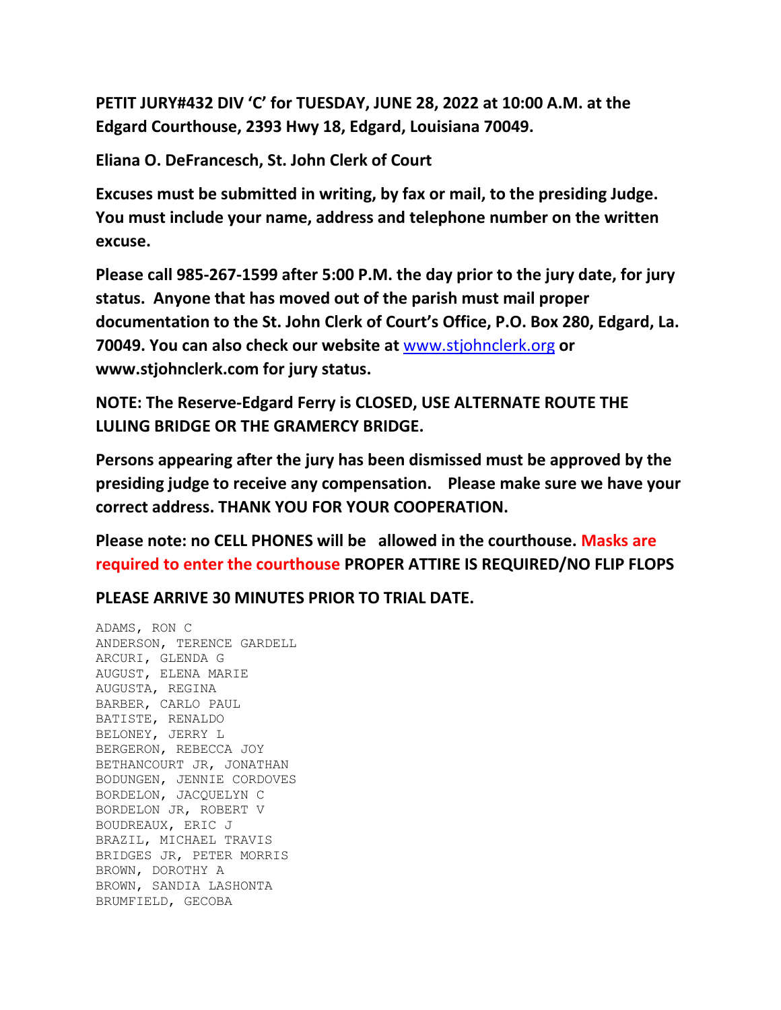**PETIT JURY#432 DIV 'C' for TUESDAY, JUNE 28, 2022 at 10:00 A.M. at the Edgard Courthouse, 2393 Hwy 18, Edgard, Louisiana 70049.**

**Eliana O. DeFrancesch, St. John Clerk of Court**

**Excuses must be submitted in writing, by fax or mail, to the presiding Judge. You must include your name, address and telephone number on the written excuse.**

**Please call 985-267-1599 after 5:00 P.M. the day prior to the jury date, for jury status. Anyone that has moved out of the parish must mail proper documentation to the St. John Clerk of Court's Office, P.O. Box 280, Edgard, La. 70049. You can also check our website at** [www.stjohnclerk.org](http://www.stjohnclerk.org/) **or www.stjohnclerk.com for jury status.**

**NOTE: The Reserve-Edgard Ferry is CLOSED, USE ALTERNATE ROUTE THE LULING BRIDGE OR THE GRAMERCY BRIDGE.**

**Persons appearing after the jury has been dismissed must be approved by the presiding judge to receive any compensation. Please make sure we have your correct address. THANK YOU FOR YOUR COOPERATION.**

**Please note: no CELL PHONES will be allowed in the courthouse. Masks are required to enter the courthouse PROPER ATTIRE IS REQUIRED/NO FLIP FLOPS**

**PLEASE ARRIVE 30 MINUTES PRIOR TO TRIAL DATE.**

ADAMS, RON C ANDERSON, TERENCE GARDELL ARCURI, GLENDA G AUGUST, ELENA MARIE AUGUSTA, REGINA BARBER, CARLO PAUL BATISTE, RENALDO BELONEY, JERRY L BERGERON, REBECCA JOY BETHANCOURT JR, JONATHAN BODUNGEN, JENNIE CORDOVES BORDELON, JACQUELYN C BORDELON JR, ROBERT V BOUDREAUX, ERIC J BRAZIL, MICHAEL TRAVIS BRIDGES JR, PETER MORRIS BROWN, DOROTHY A BROWN, SANDIA LASHONTA BRUMFIELD, GECOBA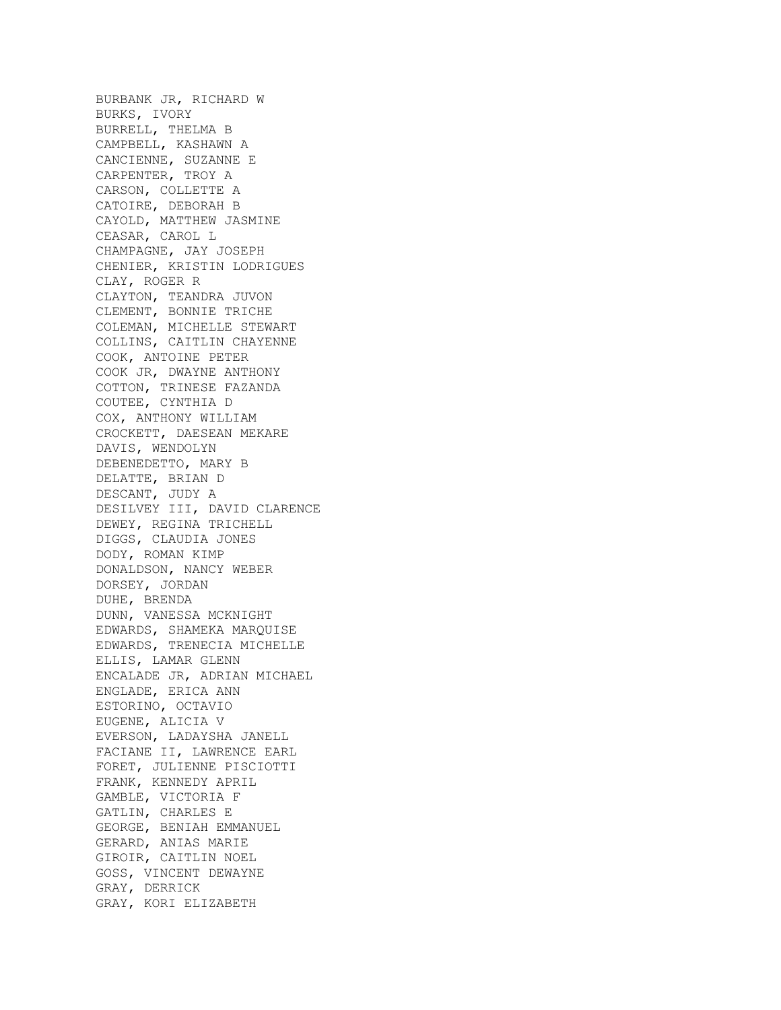BURBANK JR, RICHARD W BURKS, IVORY BURRELL, THELMA B CAMPBELL, KASHAWN A CANCIENNE, SUZANNE E CARPENTER, TROY A CARSON, COLLETTE A CATOIRE, DEBORAH B CAYOLD, MATTHEW JASMINE CEASAR, CAROL L CHAMPAGNE, JAY JOSEPH CHENIER, KRISTIN LODRIGUES CLAY, ROGER R CLAYTON, TEANDRA JUVON CLEMENT, BONNIE TRICHE COLEMAN, MICHELLE STEWART COLLINS, CAITLIN CHAYENNE COOK, ANTOINE PETER COOK JR, DWAYNE ANTHONY COTTON, TRINESE FAZANDA COUTEE, CYNTHIA D COX, ANTHONY WILLIAM CROCKETT, DAESEAN MEKARE DAVIS, WENDOLYN DEBENEDETTO, MARY B DELATTE, BRIAN D DESCANT, JUDY A DESILVEY III, DAVID CLARENCE DEWEY, REGINA TRICHELL DIGGS, CLAUDIA JONES DODY, ROMAN KIMP DONALDSON, NANCY WEBER DORSEY, JORDAN DUHE, BRENDA DUNN, VANESSA MCKNIGHT EDWARDS, SHAMEKA MARQUISE EDWARDS, TRENECIA MICHELLE ELLIS, LAMAR GLENN ENCALADE JR, ADRIAN MICHAEL ENGLADE, ERICA ANN ESTORINO, OCTAVIO EUGENE, ALICIA V EVERSON, LADAYSHA JANELL FACIANE II, LAWRENCE EARL FORET, JULIENNE PISCIOTTI FRANK, KENNEDY APRIL GAMBLE, VICTORIA F GATLIN, CHARLES E GEORGE, BENIAH EMMANUEL GERARD, ANIAS MARIE GIROIR, CAITLIN NOEL GOSS, VINCENT DEWAYNE GRAY, DERRICK GRAY, KORI ELIZABETH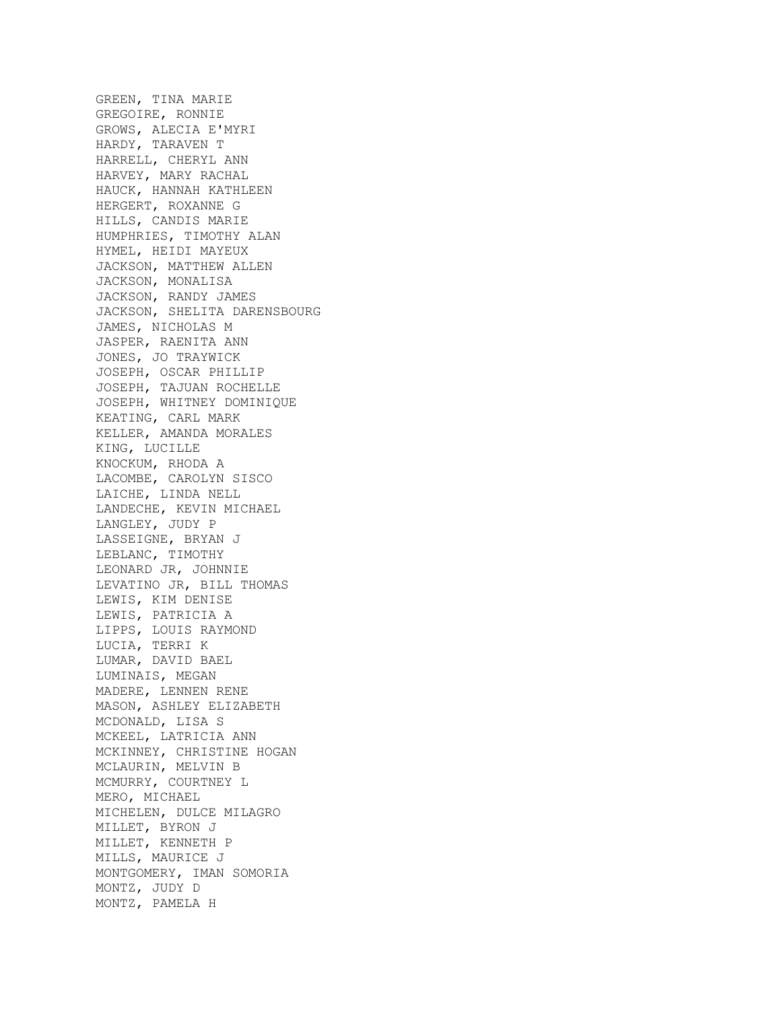GREEN, TINA MARIE GREGOIRE, RONNIE GROWS, ALECIA E'MYRI HARDY, TARAVEN T HARRELL, CHERYL ANN HARVEY, MARY RACHAL HAUCK, HANNAH KATHLEEN HERGERT, ROXANNE G HILLS, CANDIS MARIE HUMPHRIES, TIMOTHY ALAN HYMEL, HEIDI MAYEUX JACKSON, MATTHEW ALLEN JACKSON, MONALISA JACKSON, RANDY JAMES JACKSON, SHELITA DARENSBOURG JAMES, NICHOLAS M JASPER, RAENITA ANN JONES, JO TRAYWICK JOSEPH, OSCAR PHILLIP JOSEPH, TAJUAN ROCHELLE JOSEPH, WHITNEY DOMINIQUE KEATING, CARL MARK KELLER, AMANDA MORALES KING, LUCILLE KNOCKUM, RHODA A LACOMBE, CAROLYN SISCO LAICHE, LINDA NELL LANDECHE, KEVIN MICHAEL LANGLEY, JUDY P LASSEIGNE, BRYAN J LEBLANC, TIMOTHY LEONARD JR, JOHNNIE LEVATINO JR, BILL THOMAS LEWIS, KIM DENISE LEWIS, PATRICIA A LIPPS, LOUIS RAYMOND LUCIA, TERRI K LUMAR, DAVID BAEL LUMINAIS, MEGAN MADERE, LENNEN RENE MASON, ASHLEY ELIZABETH MCDONALD, LISA S MCKEEL, LATRICIA ANN MCKINNEY, CHRISTINE HOGAN MCLAURIN, MELVIN B MCMURRY, COURTNEY L MERO, MICHAEL MICHELEN, DULCE MILAGRO MILLET, BYRON J MILLET, KENNETH P MILLS, MAURICE J MONTGOMERY, IMAN SOMORIA MONTZ, JUDY D MONTZ, PAMELA H